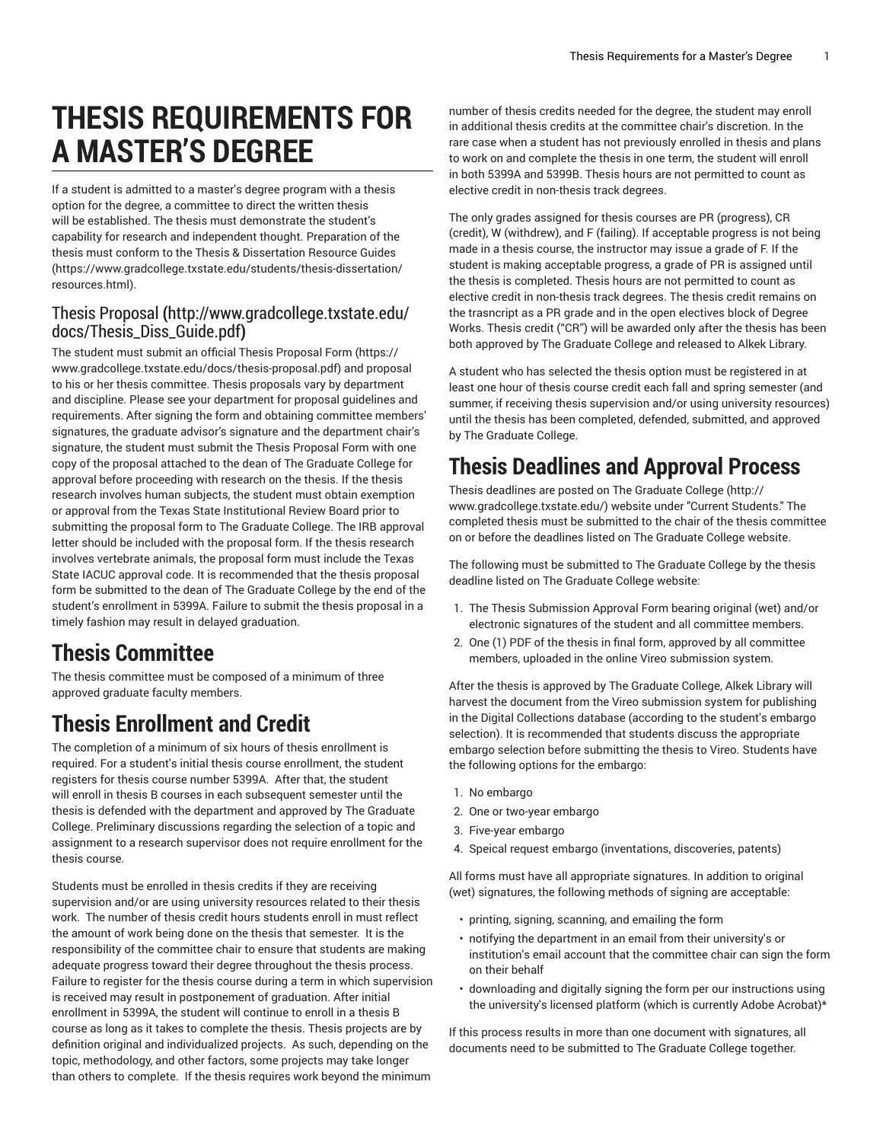# **THESIS REQUIREMENTS FOR A MASTER'S DEGREE**

If a student is admitted to a master's degree program with a thesis option for the degree, a committee to direct the written thesis will be established. The thesis must demonstrate the student's capability for research and independent thought. Preparation of the thesis must conform to the Thesis & [Dissertation](https://www.gradcollege.txstate.edu/students/thesis-dissertation/resources.html) Resource Guides ([https://www.gradcollege.txstate.edu/students/thesis-dissertation/](https://www.gradcollege.txstate.edu/students/thesis-dissertation/resources.html) [resources.html\)](https://www.gradcollege.txstate.edu/students/thesis-dissertation/resources.html).

#### Thesis [Proposal](http://www.gradcollege.txstate.edu/docs/Thesis_Diss_Guide.pdf) **(**[http://www.gradcollege.txstate.edu/](http://www.gradcollege.txstate.edu/docs/Thesis_Diss_Guide.pdf) [docs/Thesis\\_Diss\\_Guide.pdf](http://www.gradcollege.txstate.edu/docs/Thesis_Diss_Guide.pdf)**)**

The student must submit an official Thesis [Proposal](https://www.gradcollege.txstate.edu/docs/thesis-proposal.pdf) Form ([https://](https://www.gradcollege.txstate.edu/docs/thesis-proposal.pdf) [www.gradcollege.txstate.edu/docs/thesis-proposal.pdf](https://www.gradcollege.txstate.edu/docs/thesis-proposal.pdf)) and proposal to his or her thesis committee. Thesis proposals vary by department and discipline. Please see your department for proposal guidelines and requirements. After signing the form and obtaining committee members' signatures, the graduate advisor's signature and the department chair's signature, the student must submit the Thesis Proposal Form with one copy of the proposal attached to the dean of The Graduate College for approval before proceeding with research on the thesis. If the thesis research involves human subjects, the student must obtain exemption or approval from the Texas State Institutional Review Board prior to submitting the proposal form to The Graduate College. The IRB approval letter should be included with the proposal form. If the thesis research involves vertebrate animals, the proposal form must include the Texas State IACUC approval code. It is recommended that the thesis proposal form be submitted to the dean of The Graduate College by the end of the student's enrollment in 5399A. Failure to submit the thesis proposal in a timely fashion may result in delayed graduation.

### **Thesis Committee**

The thesis committee must be composed of a minimum of three approved graduate faculty members.

## **Thesis Enrollment and Credit**

The completion of a minimum of six hours of thesis enrollment is required. For a student's initial thesis course enrollment, the student registers for thesis course number 5399A. After that, the student will enroll in thesis B courses in each subsequent semester until the thesis is defended with the department and approved by The Graduate College. Preliminary discussions regarding the selection of a topic and assignment to a research supervisor does not require enrollment for the thesis course.

Students must be enrolled in thesis credits if they are receiving supervision and/or are using university resources related to their thesis work. The number of thesis credit hours students enroll in must reflect the amount of work being done on the thesis that semester. It is the responsibility of the committee chair to ensure that students are making adequate progress toward their degree throughout the thesis process. Failure to register for the thesis course during a term in which supervision is received may result in postponement of graduation. After initial enrollment in 5399A, the student will continue to enroll in a thesis B course as long as it takes to complete the thesis. Thesis projects are by definition original and individualized projects. As such, depending on the topic, methodology, and other factors, some projects may take longer than others to complete. If the thesis requires work beyond the minimum

number of thesis credits needed for the degree, the student may enroll in additional thesis credits at the committee chair's discretion. In the rare case when a student has not previously enrolled in thesis and plans to work on and complete the thesis in one term, the student will enroll in both 5399A and 5399B. Thesis hours are not permitted to count as elective credit in non-thesis track degrees.

The only grades assigned for thesis courses are PR (progress), CR (credit), W (withdrew), and F (failing). If acceptable progress is not being made in a thesis course, the instructor may issue a grade of F. If the student is making acceptable progress, a grade of PR is assigned until the thesis is completed. Thesis hours are not permitted to count as elective credit in non-thesis track degrees. The thesis credit remains on the trasncript as a PR grade and in the open electives block of Degree Works. Thesis credit ("CR") will be awarded only after the thesis has been both approved by The Graduate College and released to Alkek Library.

A student who has selected the thesis option must be registered in at least one hour of thesis course credit each fall and spring semester (and summer, if receiving thesis supervision and/or using university resources) until the thesis has been completed, defended, submitted, and approved by The Graduate College.

### **Thesis Deadlines and Approval Process**

Thesis deadlines are posted on [The Graduate College](http://www.gradcollege.txstate.edu/) ([http://](http://www.gradcollege.txstate.edu/) [www.gradcollege.txstate.edu/](http://www.gradcollege.txstate.edu/)) website under "Current Students." The completed thesis must be submitted to the chair of the thesis committee on or before the deadlines listed on The Graduate College website.

The following must be submitted to The Graduate College by the thesis deadline listed on The Graduate College website:

- 1. The Thesis Submission Approval Form bearing original (wet) and/or electronic signatures of the student and all committee members.
- 2. One (1) PDF of the thesis in final form, approved by all committee members, uploaded in the online Vireo submission system.

After the thesis is approved by The Graduate College, Alkek Library will harvest the document from the Vireo submission system for publishing in the Digital Collections database (according to the student's embargo selection). It is recommended that students discuss the appropriate embargo selection before submitting the thesis to Vireo. Students have the following options for the embargo:

- 1. No embargo
- 2. One or two-year embargo
- 3. Five-year embargo
- 4. Speical request embargo (inventations, discoveries, patents)

All forms must have all appropriate signatures. In addition to original (wet) signatures, the following methods of signing are acceptable:

- printing, signing, scanning, and emailing the form
- notifying the department in an email from their university's or institution's email account that the committee chair can sign the form on their behalf
- downloading and digitally signing the form per our instructions using the university's licensed platform (which is currently Adobe Acrobat)\*

If this process results in more than one document with signatures, all documents need to be submitted to The Graduate College together.